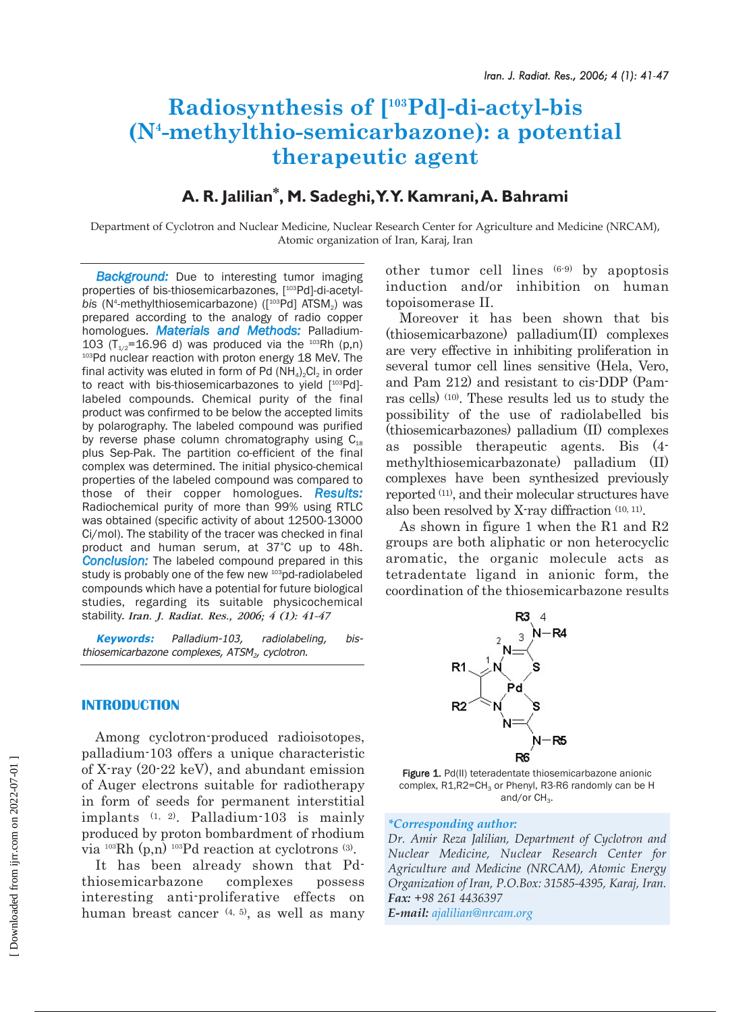# **Radiosynthesis of [103Pd]-di-actyl-bis (N4 -methylthio-semicarbazone): a potential therapeutic agent**

# **A. R. Jalilian\*, M. Sadeghi,Y.Y. Kamrani,A. Bahrami**

Department of Cyclotron and Nuclear Medicine, Nuclear Research Center for Agriculture and Medicine (NRCAM), Atomic organization of Iran, Karaj, Iran

**Background:** Due to interesting tumor imaging properties of bis-thiosemicarbazones, [103Pd]-di-acetylbis (N<sup>4</sup>-methylthiosemicarbazone) ([<sup>103</sup>Pd] ATSM<sub>2</sub>) was prepared according to the analogy of radio copper homologues. *Materials and Methods:* Palladium-103 ( $T_{1/2}$ =16.96 d) was produced via the <sup>103</sup>Rh (p,n) 103Pd nuclear reaction with proton energy 18 MeV. The final activity was eluted in form of Pd  $(NH_4)_2Cl_2$  in order to react with bis-thiosemicarbazones to yield [<sup>103</sup>Pd]labeled compounds. Chemical purity of the final product was confirmed to be below the accepted limits by polarography. The labeled compound was purified by reverse phase column chromatography using  $C_{18}$ plus Sep-Pak. The partition co-efficient of the final complex was determined. The initial physico-chemical properties of the labeled compound was compared to those of their copper homologues. *Results:* Radiochemical purity of more than 99% using RTLC was obtained (specific activity of about 12500-13000 Ci/mol). The stability of the tracer was checked in final product and human serum, at 37°C up to 48h. *Conclusion:* The labeled compound prepared in this study is probably one of the few new <sup>103</sup>pd-radiolabeled compounds which have a potential for future biological studies, regarding its suitable physicochemical stability. *Iran. J. Radiat. Res., 2006; 4 (1): 41-47*

**Keywords:** Palladium-103, radiolabeling, bisthiosemicarbazone complexes,  $ATSM<sub>2</sub>$ , cyclotron.

# **INTRODUCTION**

Among cyclotron-produced radioisotopes, palladium-103 offers a unique characteristic of X-ray (20-22 keV), and abundant emission of Auger electrons suitable for radiotherapy in form of seeds for permanent interstitial implants (1, 2). Palladium-103 is mainly produced by proton bombardment of rhodium via  $^{103}Rh$  (p,n)  $^{103}Pd$  reaction at cyclotrons  $^{(3)}$ .

It has been already shown that Pdthiosemicarbazone complexes possess interesting anti-proliferative effects on human breast cancer  $(4, 5)$ , as well as many

other tumor cell lines (6-9) by apoptosis induction and/or inhibition on human topoisomerase II.

Moreover it has been shown that bis (thiosemicarbazone) palladium(II) complexes are very effective in inhibiting proliferation in several tumor cell lines sensitive (Hela, Vero, and Pam 212) and resistant to cis-DDP (Pamras cells) (10). These results led us to study the possibility of the use of radiolabelled bis (thiosemicarbazones) palladium (II) complexes as possible therapeutic agents. Bis (4 methylthiosemicarbazonate) palladium (II) complexes have been synthesized previously reported (11), and their molecular structures have also been resolved by X-ray diffraction (10, 11).

As shown in figure 1 when the R1 and R2 groups are both aliphatic or non heterocyclic aromatic, the organic molecule acts as tetradentate ligand in anionic form, the coordination of the thiosemicarbazone results



Figure 1. Pd(II) teteradentate thiosemicarbazone anionic complex,  $R1, R2 = CH<sub>3</sub>$  or Phenyl, R3-R6 randomly can be H and/or  $CH<sub>3</sub>$ .

# *\*Corresponding author:*

*Dr. Amir Reza Jalilian, Department of Cyclotron and Nuclear Medicine, Nuclear Research Center for Agriculture and Medicine (NRCAM), Atomic Energy Organization of Iran, P.O.Box: 31585-4395, Karaj, Iran. Fax: +98 261 4436397 E-mail: ajalilian@nrcam.org*

 [\[ Downloaded from ijrr.com on 2022-07-0](https://ijrr.com/article-1-211-en.html)1 ] Downloaded from ijrr.com on 2022-07-01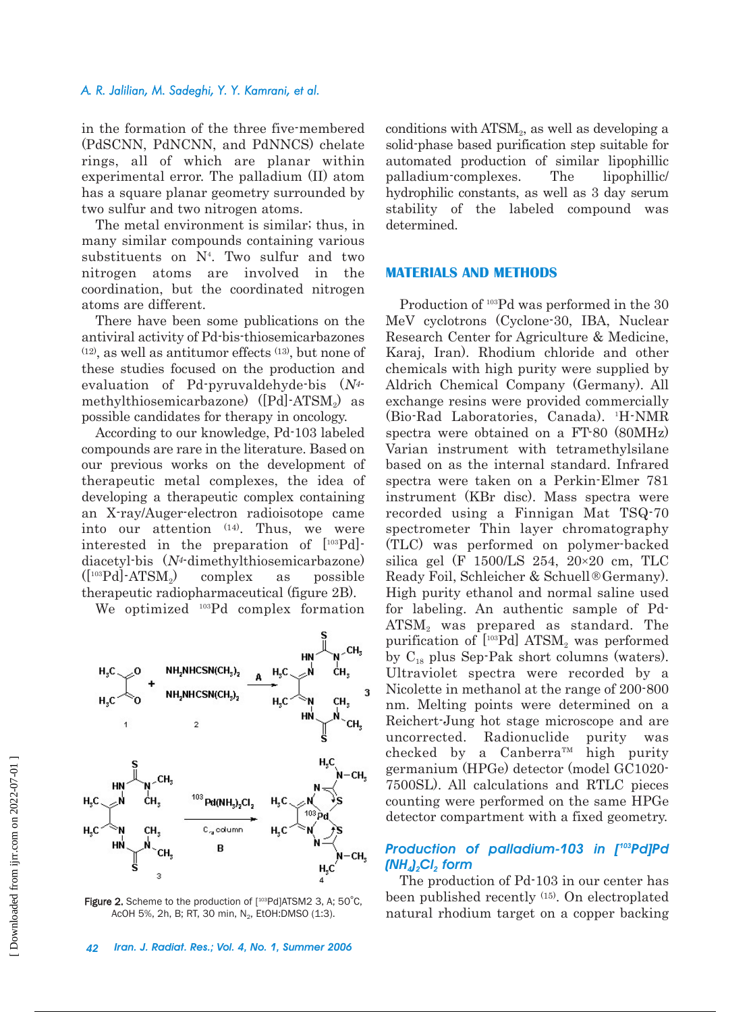#### *A. R. Jalilian, M. Sadeghi, Y. Y. Kamrani, et al.*

in the formation of the three five-membered (PdSCNN, PdNCNN, and PdNNCS) chelate rings, all of which are planar within experimental error. The palladium (II) atom has a square planar geometry surrounded by two sulfur and two nitrogen atoms.

The metal environment is similar; thus, in many similar compounds containing various substituents on N4 . Two sulfur and two nitrogen atoms are involved in the coordination, but the coordinated nitrogen atoms are different.

There have been some publications on the antiviral activity of Pd-bis-thiosemicarbazones (12), as well as antitumor effects (13), but none of these studies focused on the production and evaluation of Pd-pyruvaldehyde-bis (N4 methylthiosemicarbazone) ([Pd]-ATSM<sub>2</sub>) as possible candidates for therapy in oncology.

According to our knowledge, Pd-103 labeled compounds are rare in the literature. Based on our previous works on the development of therapeutic metal complexes, the idea of developing a therapeutic complex containing an X-ray/Auger-electron radioisotope came into our attention (14). Thus, we were interested in the preparation of [103Pd] diacetyl-bis  $(N^4$ -dimethylthiosemicarbazone)  $([^{103}Pd]$ -ATSM<sub>2</sub>) complex as possible therapeutic radiopharmaceutical (figure 2B).

We optimized 103Pd complex formation



Figure 2. Scheme to the production of [103Pd]ATSM2 3, A: 50°C. AcOH 5%, 2h, B; RT, 30 min, N<sub>2</sub>, EtOH:DMSO (1:3).

*42 Iran. J. Radiat. Res.; Vol. 4, No. 1, Summer 2006*

conditions with  $ATSM<sub>2</sub>$ , as well as developing a solid-phase based purification step suitable for automated production of similar lipophillic palladium-complexes. The lipophillic/ hydrophilic constants, as well as 3 day serum stability of the labeled compound was determined.

# **MATERIALS AND METHODS**

Production of <sup>103</sup>Pd was performed in the 30 MeV cyclotrons (Cyclone-30, IBA, Nuclear Research Center for Agriculture & Medicine, Karaj, Iran). Rhodium chloride and other chemicals with high purity were supplied by Aldrich Chemical Company (Germany). All exchange resins were provided commercially (Bio-Rad Laboratories, Canada). 1 H-NMR spectra were obtained on a FT-80 (80MHz) Varian instrument with tetramethylsilane based on as the internal standard. Infrared spectra were taken on a Perkin-Elmer 781 instrument (KBr disc). Mass spectra were recorded using a Finnigan Mat TSQ-70 spectrometer Thin layer chromatography (TLC) was performed on polymer-backed silica gel (F 1500/LS 254,  $20 \times 20$  cm, TLC Ready Foil, Schleicher & Schuell®Germany). High purity ethanol and normal saline used for labeling. An authentic sample of Pd-ATSM<sub>2</sub> was prepared as standard. The purification of  $[{}^{103}Pd]$  ATSM<sub>2</sub> was performed by  $C_{18}$  plus Sep-Pak short columns (waters). Ultraviolet spectra were recorded by a Nicolette in methanol at the range of 200-800 nm. Melting points were determined on a Reichert-Jung hot stage microscope and are uncorrected. Radionuclide purity was checked by a Canberra<sup>TM</sup> high purity germanium (HPGe) detector (model GC1020- 7500SL). All calculations and RTLC pieces counting were performed on the same HPGe detector compartment with a fixed geometry.

# *Production of palladium-103 in [103Pd]Pd*  $(MH<sub>4</sub>)<sub>2</sub>Cl<sub>2</sub>$  *form*

The production of Pd-103 in our center has been published recently (15). On electroplated natural rhodium target on a copper backing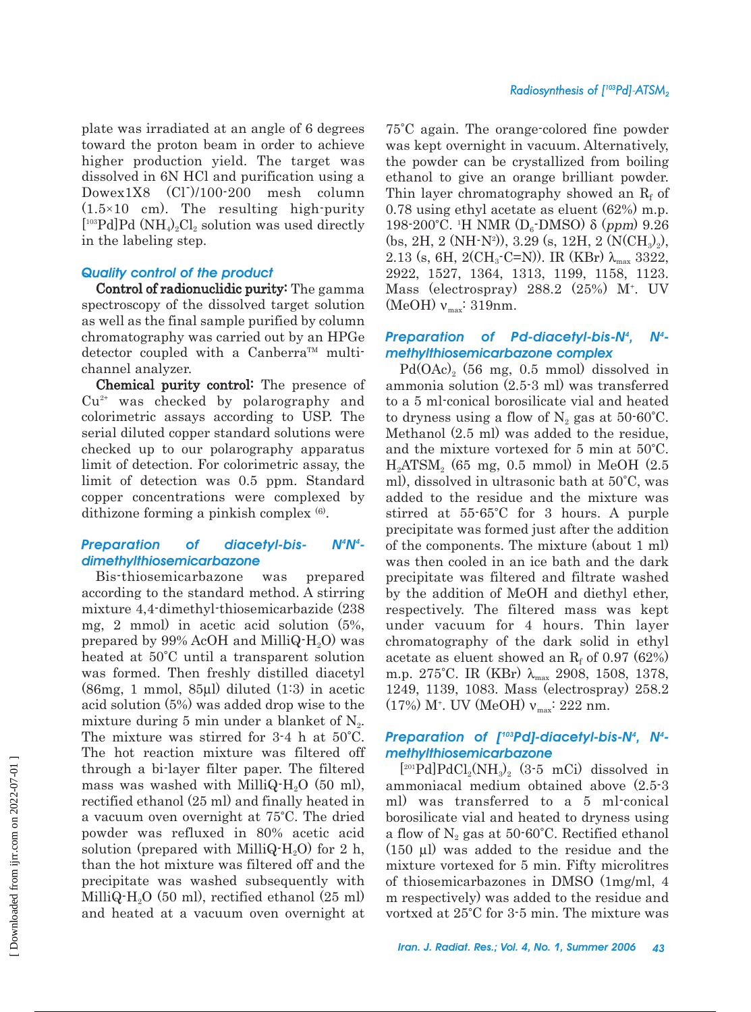plate was irradiated at an angle of 6 degrees toward the proton beam in order to achieve higher production yield. The target was dissolved in 6N HCl and purification using a Dowex1X8 (Cl-)/100-200 mesh column  $(1.5×10$  cm). The resulting high-purity  $[{}^{103}\text{Pd}]\text{Pd}$  (NH<sub>4</sub>)<sub>2</sub>Cl<sub>2</sub> solution was used directly in the labeling step.

# *Quality control of the product*

Control of radionuclidic purity: The gamma spectroscopy of the dissolved target solution as well as the final sample purified by column chromatography was carried out by an HPGe detector coupled with a Canberra<sup>TM</sup> multichannel analyzer.

Chemical purity control: The presence of  $Cu<sup>2+</sup>$  was checked by polarography and colorimetric assays according to USP. The serial diluted copper standard solutions were checked up to our polarography apparatus limit of detection. For colorimetric assay, the limit of detection was 0.5 ppm. Standard copper concentrations were complexed by dithizone forming a pinkish complex (6).

#### **Preparation of diacetyl-bis-***N4 dimethylthiosemicarbazone*

Bis-thiosemicarbazone was prepared according to the standard method. A stirring mixture 4,4-dimethyl-thiosemicarbazide (238 mg, 2 mmol) in acetic acid solution (5%, prepared by 99% AcOH and MilliQ $\cdot$ H<sub>2</sub>O) was heated at 50°C until a transparent solution was formed. Then freshly distilled diacetyl (86mg, 1 mmol, 85µl) diluted (1:3) in acetic acid solution (5%) was added drop wise to the mixture during 5 min under a blanket of  $N_{2}$ . The mixture was stirred for 3-4 h at 50°C. The hot reaction mixture was filtered off through a bi-layer filter paper. The filtered mass was washed with MilliQ- $H_2O$  (50 ml), rectified ethanol (25 ml) and finally heated in a vacuum oven overnight at 75°C. The dried powder was refluxed in 80% acetic acid solution (prepared with MilliQ-H<sub>2</sub>O) for 2 h, than the hot mixture was filtered off and the precipitate was washed subsequently with MilliQ-H<sub>2</sub>O (50 ml), rectified ethanol (25 ml) and heated at a vacuum oven overnight at

75°C again. The orange-colored fine powder was kept overnight in vacuum. Alternatively, the powder can be crystallized from boiling ethanol to give an orange brilliant powder. Thin layer chromatography showed an  $R_f$  of 0.78 using ethyl acetate as eluent (62%) m.p.  $198-200^{\circ}$ C. <sup>1</sup>H NMR (D<sub>6</sub>-DMSO) δ (*ppm*) 9.26  $(bs, 2H, 2 (NH-N<sup>2</sup>)), 3.29 (s, 12H, 2 (NCH<sub>3</sub>)<sub>2</sub>),$ 2.13 (s, 6H, 2(CH<sub>3</sub>-C=N)). IR (KBr)  $\lambda_{\text{max}}$  3322, 2922, 1527, 1364, 1313, 1199, 1158, 1123. Mass (electrospray) 288.2 (25%) M+ . UV (MeOH)  $v_{\text{max}}$ : 319nm.

#### *Preparation of Pd-diacetyl-bis-N4 , N4 methylthiosemicarbazone complex*

Pd(OAc)<sub>2</sub> (56 mg, 0.5 mmol) dissolved in ammonia solution (2.5-3 ml) was transferred to a 5 ml-conical borosilicate vial and heated to dryness using a flow of  $N_2$  gas at 50-60°C. Methanol (2.5 ml) was added to the residue, and the mixture vortexed for 5 min at 50°C.  $H_2ATSM$ , (65 mg, 0.5 mmol) in MeOH (2.5) ml), dissolved in ultrasonic bath at 50°C, was added to the residue and the mixture was stirred at 55-65°C for 3 hours. A purple precipitate was formed just after the addition of the components. The mixture (about 1 ml) was then cooled in an ice bath and the dark precipitate was filtered and filtrate washed by the addition of MeOH and diethyl ether, respectively. The filtered mass was kept under vacuum for 4 hours. Thin layer chromatography of the dark solid in ethyl acetate as eluent showed an  $R_f$  of 0.97 (62%) m.p. 275°C. IR (KBr)  $\lambda_{\text{max}}$  2908, 1508, 1378, 1249, 1139, 1083. Mass (electrospray) 258.2  $(17%)$  M<sup>+</sup>. UV (MeOH)  $v_{\text{max}}$ : 222 nm.

# *Preparation of [103Pd]-diacetyl-bis-N4 , N4 methylthiosemicarbazone*

 $[{}^{201}Pd]PdCl<sub>2</sub>(NH<sub>3</sub>)<sub>2</sub>$  (3-5 mCi) dissolved in ammoniacal medium obtained above (2.5-3 ml) was transferred to a 5 ml-conical borosilicate vial and heated to dryness using a flow of  $N_2$  gas at 50-60°C. Rectified ethanol (150 µl) was added to the residue and the mixture vortexed for 5 min. Fifty microlitres of thiosemicarbazones in DMSO (1mg/ml, 4 m respectively) was added to the residue and vortxed at 25°C for 3-5 min. The mixture was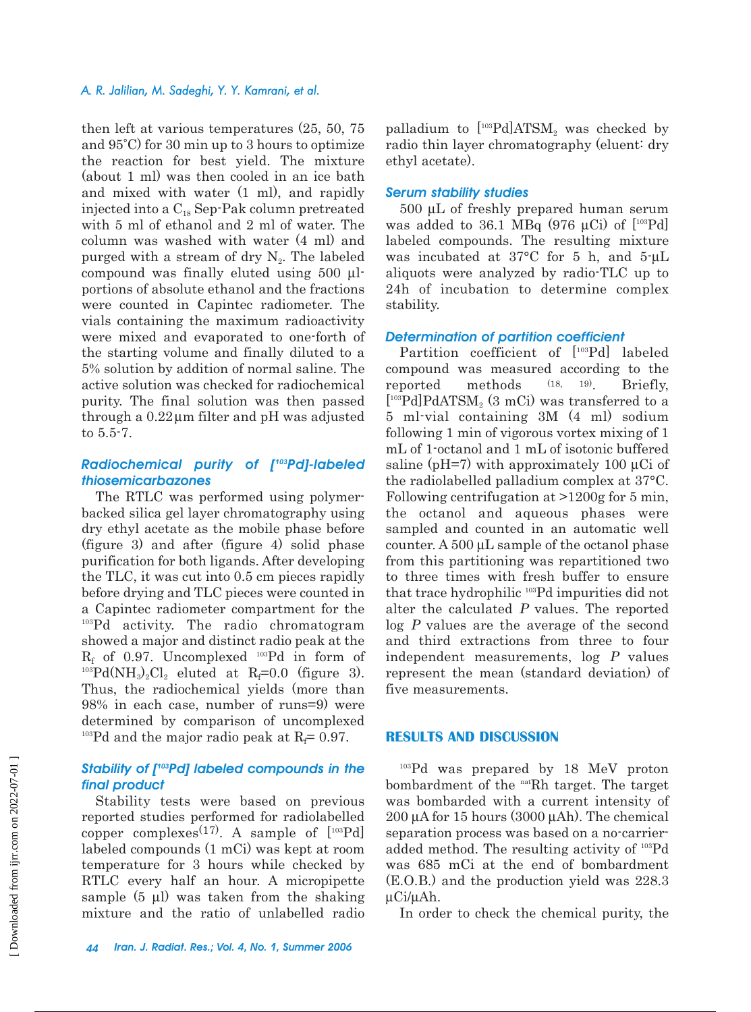# *A. R. Jalilian, M. Sadeghi, Y. Y. Kamrani, et al.*

then left at various temperatures (25, 50, 75 and 95°C) for 30 min up to 3 hours to optimize the reaction for best yield. The mixture (about 1 ml) was then cooled in an ice bath and mixed with water (1 ml), and rapidly injected into a  $C_{18}$  Sep-Pak column pretreated with 5 ml of ethanol and 2 ml of water. The column was washed with water (4 ml) and purged with a stream of dry  $N_2$ . The labeled compound was finally eluted using 500 µlportions of absolute ethanol and the fractions were counted in Capintec radiometer. The vials containing the maximum radioactivity were mixed and evaporated to one-forth of the starting volume and finally diluted to a 5% solution by addition of normal saline. The active solution was checked for radiochemical purity. The final solution was then passed through a  $0.22 \mu m$  filter and pH was adjusted to 5.5-7.

# *Radiochemical purity of [103Pd]-labeled thiosemicarbazones*

The RTLC was performed using polymerbacked silica gel layer chromatography using dry ethyl acetate as the mobile phase before (figure 3) and after (figure 4) solid phase purification for both ligands. After developing the TLC, it was cut into 0.5 cm pieces rapidly before drying and TLC pieces were counted in a Capintec radiometer compartment for the <sup>103</sup>Pd activity. The radio chromatogram showed a major and distinct radio peak at the  $R_f$  of 0.97. Uncomplexed <sup>103</sup>Pd in form of <sup>103</sup>Pd(NH<sub>3</sub>)<sub>2</sub>Cl<sub>2</sub> eluted at R<sub>f</sub>=0.0 (figure 3). Thus, the radiochemical yields (more than 98% in each case, number of runs=9) were determined by comparison of uncomplexed <sup>103</sup>Pd and the major radio peak at  $R_f$ = 0.97.

# *Stability of [103Pd] labeled compounds in the final product*

Stability tests were based on previous reported studies performed for radiolabelled copper complexes<sup>(17)</sup>. A sample of  $[{}^{103}Pd]$ labeled compounds (1 mCi) was kept at room temperature for 3 hours while checked by RTLC every half an hour. A micropipette sample (5 µl) was taken from the shaking mixture and the ratio of unlabelled radio

palladium to  $[{}^{103}Pd]ATSM_2$  was checked by radio thin layer chromatography (eluent: dry ethyl acetate).

# *Serum stability studies*

500 µL of freshly prepared human serum was added to 36.1 MBq (976  $\mu$ Ci) of [<sup>103</sup>Pd] labeled compounds. The resulting mixture was incubated at 37°C for 5 h, and 5-µL aliquots were analyzed by radio-TLC up to 24h of incubation to determine complex stability.

# *Determination of partition coefficient*

Partition coefficient of [103Pd] labeled compound was measured according to the reported methods (18, 19). Briefly,  $[{}^{103}Pd]PdATSM<sub>2</sub>$  (3 mCi) was transferred to a 5 ml-vial containing 3M (4 ml) sodium following 1 min of vigorous vortex mixing of 1 mL of 1-octanol and 1 mL of isotonic buffered saline ( $pH=7$ ) with approximately 100  $\mu$ Ci of the radiolabelled palladium complex at 37°C. Following centrifugation at >1200g for 5 min, the octanol and aqueous phases were sampled and counted in an automatic well counter. A 500  $\mu$ L sample of the octanol phase from this partitioning was repartitioned two to three times with fresh buffer to ensure that trace hydrophilic 103Pd impurities did not alter the calculated P values. The reported log P values are the average of the second and third extractions from three to four independent measurements, log P values represent the mean (standard deviation) of five measurements.

# **RESULTS AND DISCUSSION**

<sup>103</sup>Pd was prepared by 18 MeV proton bombardment of the natRh target. The target was bombarded with a current intensity of 200 µA for 15 hours (3000 µAh). The chemical separation process was based on a no-carrieradded method. The resulting activity of 103Pd was 685 mCi at the end of bombardment (E.O.B.) and the production yield was 228.3 µCi/µAh.

In order to check the chemical purity, the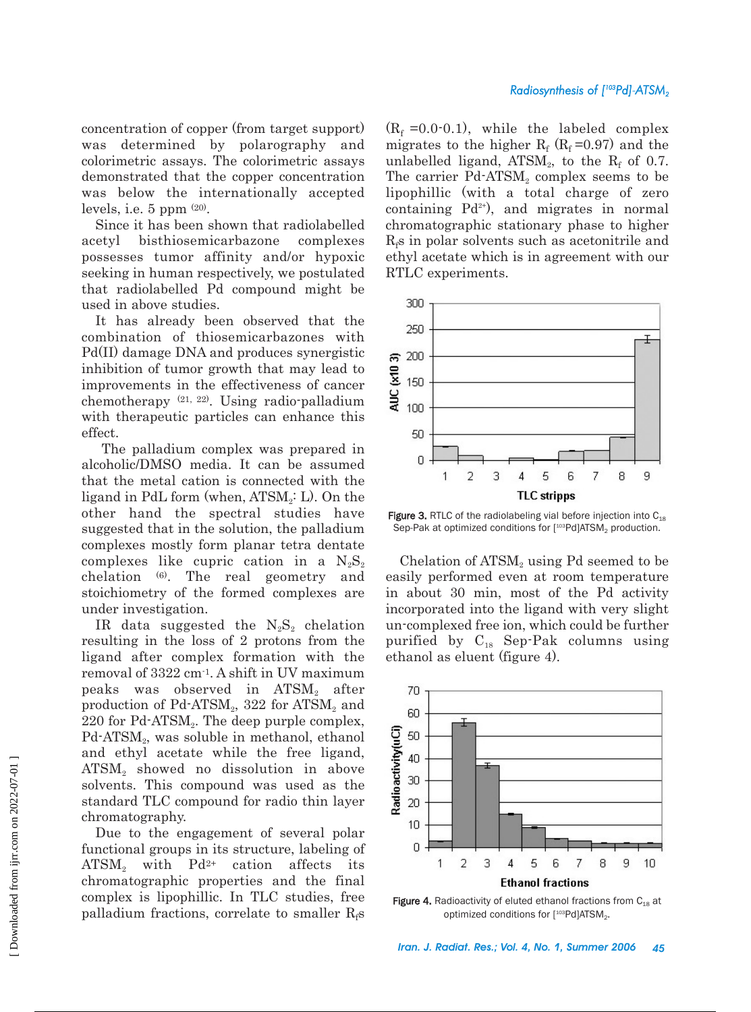concentration of copper (from target support) was determined by polarography and colorimetric assays. The colorimetric assays demonstrated that the copper concentration was below the internationally accepted levels, i.e.  $5$  ppm  $(20)$ .

Since it has been shown that radiolabelled acetyl bisthiosemicarbazone complexes possesses tumor affinity and/or hypoxic seeking in human respectively, we postulated that radiolabelled Pd compound might be used in above studies.

It has already been observed that the combination of thiosemicarbazones with Pd(II) damage DNA and produces synergistic inhibition of tumor growth that may lead to improvements in the effectiveness of cancer chemotherapy (21, 22). Using radio-palladium with therapeutic particles can enhance this effect.

The palladium complex was prepared in alcoholic/DMSO media. It can be assumed that the metal cation is connected with the ligand in PdL form (when,  $ATSM<sub>2</sub>$ : L). On the other hand the spectral studies have suggested that in the solution, the palladium complexes mostly form planar tetra dentate complexes like cupric cation in a  $N_2S_2$ chelation (6). The real geometry and stoichiometry of the formed complexes are under investigation.

IR data suggested the  $N_2S_2$  chelation resulting in the loss of 2 protons from the ligand after complex formation with the removal of 3322 cm-1. A shift in UV maximum peaks was observed in ATSM<sub>2</sub> after production of  $Pd$ -ATSM<sub>2</sub>, 322 for ATSM<sub>2</sub> and 220 for  $Pd$ -ATSM<sub>2</sub>. The deep purple complex, Pd-ATSM<sub>2</sub>, was soluble in methanol, ethanol and ethyl acetate while the free ligand,  $ATSM<sub>2</sub>$  showed no dissolution in above solvents. This compound was used as the standard TLC compound for radio thin layer chromatography.

Due to the engagement of several polar functional groups in its structure, labeling of ATSM, with  $Pd^{2+}$  cation affects its chromatographic properties and the final complex is lipophillic. In TLC studies, free palladium fractions, correlate to smaller  $R_f$ s

 $(R_f = 0.0 \cdot 0.1)$ , while the labeled complex migrates to the higher  $R_f$  ( $R_f$  =0.97) and the unlabelled ligand,  $ATSM<sub>2</sub>$ , to the  $R<sub>f</sub>$  of 0.7. The carrier  $Pd$ -ATSM<sub>2</sub> complex seems to be lipophillic (with a total charge of zero containing  $Pd^{2+}$ , and migrates in normal chromatographic stationary phase to higher  $R_f$ s in polar solvents such as acetonitrile and ethyl acetate which is in agreement with our RTLC experiments.



**Figure 3.** RTLC of the radiolabeling vial before injection into  $C_{18}$ Sep-Pak at optimized conditions for [<sup>103</sup>Pd]ATSM<sub>2</sub> production.

Chelation of  $ATSM<sub>2</sub>$  using Pd seemed to be easily performed even at room temperature in about 30 min, most of the Pd activity incorporated into the ligand with very slight un-complexed free ion, which could be further purified by  $C_{18}$  Sep-Pak columns using ethanol as eluent (figure 4).



Figure 4. Radioactivity of eluted ethanol fractions from  $C_{18}$  at optimized conditions for  $[103Pd]$ ATSM<sub>2</sub>.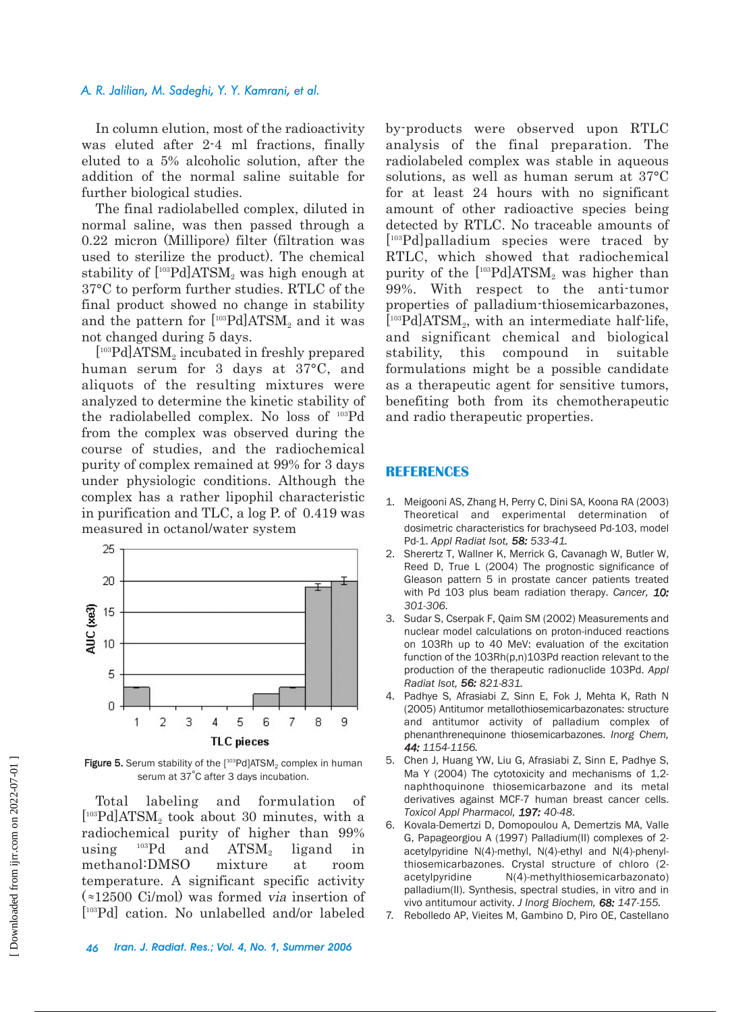# *A. R. Jalilian, M. Sadeghi, Y. Y. Kamrani, et al.*

In column elution, most of the radioactivity was eluted after 2-4 ml fractions, finally eluted to a 5% alcoholic solution, after the addition of the normal saline suitable for further biological studies.

The final radiolabelled complex, diluted in normal saline, was then passed through a 0.22 micron (Millipore) filter (filtration was used to sterilize the product). The chemical stability of  $[103Pd]$ ATSM<sub>2</sub> was high enough at 37°C to perform further studies. RTLC of the final product showed no change in stability and the pattern for  $[103Pd]$ ATSM<sub>2</sub> and it was not changed during 5 days.

 $[103Pd]$ ATSM<sub>2</sub> incubated in freshly prepared human serum for 3 days at 37°C, and aliquots of the resulting mixtures were analyzed to determine the kinetic stability of the radiolabelled complex. No loss of 103Pd from the complex was observed during the course of studies, and the radiochemical purity of complex remained at 99% for 3 days under physiologic conditions. Although the complex has a rather lipophil characteristic in purification and TLC, a log P. of 0.419 was measured in octanol/water system



Figure 5. Serum stability of the  $[103Pd]$ ATSM<sub>2</sub> complex in human serum at 37°C after 3 days incubation.

Total labeling and formulation of  $[103Pd]ATSM<sub>2</sub>$  took about 30 minutes, with a radiochemical purity of higher than 99% using  $^{103}Pd$  and  $ATSM<sub>2</sub>$  ligand in methanol:DMSO mixture at room temperature. A significant specific activity  $\left(\infty 12500 \text{ Ci/mol}\right)$  was formed via insertion of [ 103Pd] cation. No unlabelled and/or labeled

by-products were observed upon RTLC analysis of the final preparation. The radiolabeled complex was stable in aqueous solutions, as well as human serum at 37°C for at least 24 hours with no significant amount of other radioactive species being detected by RTLC. No traceable amounts of [ 103Pd]palladium species were traced by RTLC, which showed that radiochemical purity of the  $[103Pd]ATSM$ , was higher than 99%. With respect to the anti-tumor properties of palladium-thiosemicarbazones,  $\lfloor$ <sup>103</sup>Pd]ATSM<sub>2</sub>, with an intermediate half-life, and significant chemical and biological stability, this compound in suitable formulations might be a possible candidate as a therapeutic agent for sensitive tumors, benefiting both from its chemotherapeutic and radio therapeutic properties.

# **REFERENCES**

- 1. Meigooni AS, Zhang H, Perry C, Dini SA, Koona RA (2003) Theoretical and experimental determination of dosimetric characteristics for brachyseed Pd-103, model Pd-1. *Appl Radiat Isot, 58: 533-41.*
- 2. Sherertz T, Wallner K, Merrick G, Cavanagh W, Butler W, Reed D, True L (2004) The prognostic significance of Gleason pattern 5 in prostate cancer patients treated with Pd 103 plus beam radiation therapy. *Cancer, 10: 301-306.*
- 3. Sudar S, Cserpak F, Qaim SM (2002) Measurements and nuclear model calculations on proton-induced reactions on 103Rh up to 40 MeV: evaluation of the excitation function of the 103Rh(p,n)103Pd reaction relevant to the production of the therapeutic radionuclide 103Pd. *Appl Radiat Isot, 56: 821-831.*
- 4. Padhye S, Afrasiabi Z, Sinn E, Fok J, Mehta K, Rath N (2005) Antitumor metallothiosemicarbazonates: structure and antitumor activity of palladium complex of phenanthrenequinone thiosemicarbazones. *Inorg Chem, 44: 1154-1156.*
- 5. Chen J, Huang YW, Liu G, Afrasiabi Z, Sinn E, Padhye S, Ma Y (2004) The cytotoxicity and mechanisms of 1,2 naphthoquinone thiosemicarbazone and its metal derivatives against MCF-7 human breast cancer cells. *Toxicol Appl Pharmacol, 197: 40-48.*
- 6. Kovala-Demertzi D, Domopoulou A, Demertzis MA, Valle G, Papageorgiou A (1997) Palladium(II) complexes of 2 acetylpyridine N(4)-methyl, N(4)-ethyl and N(4)-phenylthiosemicarbazones. Crystal structure of chloro (2 acetylpyridine N(4)-methylthiosemicarbazonato) palladium(II). Synthesis, spectral studies, in vitro and in vivo antitumour activity. *J Inorg Biochem, 68: 147-155.*
- 7. Rebolledo AP, Vieites M, Gambino D, Piro OE, Castellano